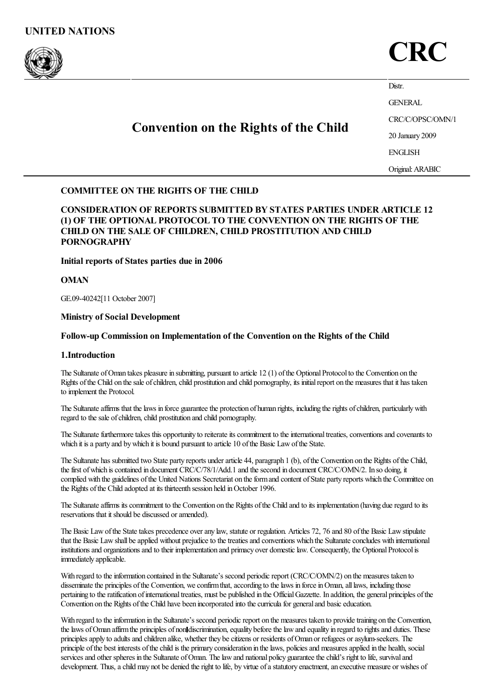



Distr.

GENERAL

# Convention on the Rights of the Child

20 January 2009

CRC/C/OPSC/OMN/1

ENGLISH

Original:ARABIC

## COMMITTEE ON THE RIGHTS OF THE CHILD

CONSIDERATION OF REPORTS SUBMITTED BY STATES PARTIES UNDER ARTICLE 12 (1) OF THE OPTIONAL PROTOCOL TO THE CONVENTION ON THE RIGHTS OF THE CHILD ON THE SALE OF CHILDREN, CHILD PROSTITUTION AND CHILD PORNOGRAPHY

## Initial reports of States parties due in 2006

## **OMAN**

GE.09-40242[11 October 2007]

## Ministry of Social Development

## Follow-up Commission on Implementation of the Convention on the Rights of the Child

## 1.Introduction

The Sultanate of Oman takes pleasure in submitting, pursuant to article 12 (1) of the Optional Protocol to the Convention on the Rights of the Child on the sale of children, child prostitution and child pornography, its initial report on the measures that it has taken to implement the Protocol.

The Sultanate affirms that the laws in force guarantee the protection of human rights, including the rights of children, particularly with regard to the sale of children, child prostitution and child pornography.

The Sultanate furthermore takes this opportunity to reiterate its commitment to the international treaties, conventions and covenants to which it is a party and by which it is bound pursuant to article 10 of the Basic Law of the State.

The Sultanate has submitted two State party reports underarticle 44, paragraph 1 (b), ofthe Convention on the Rights ofthe Child, the first of which is contained in document CRC/C/78/1/Add.1 and the second in document CRC/C/OMN/2. In so doing, it complied with the guidelines of the United Nations Secretariat on the form and content of State party reports which the Committee on the Rights of the Child adopted at its thirteenth session held in October 1996.

The Sultanate affirms its commitment to the Convention on the Rights of the Child and to its implementation (having due regard to its reservations that it should be discussed or amended).

The Basic Law of the State takes precedence over any law, statute or regulation. Articles 72, 76 and 80 of the Basic Law stipulate that the Basic Law shall be applied without prejudice to the treaties and conventions which the Sultanate concludes with international institutions and organizations and to their implementation and primacy over domestic law. Consequently, the Optional Protocol is immediately applicable.

With regard to the information contained in the Sultanate's second periodic report (CRC/C/OMN/2) on the measures taken to disseminate the principles of the Convention, we confirm that, according to the laws in force in Oman, all laws, including those pertaining to the ratification of international treaties, must be published in the Official Gazzette. In addition, the general principles of the Convention on the Rights of the Child have been incorporated into the curricula for general and basic education.

With regard to the information in the Sultanate's second periodic report on the measures taken to provide training on the Convention, the laws of Oman affirm the principles of non discrimination, equality before the law and equality in regard to rights and duties. These principlesapply to adultsand children alike, whether they becitizens or residents ofOman or refugees orasylum-seekers. The principle of the best interests of the child is the primary consideration in the laws, policies and measures applied in the health, social services and other spheres in the Sultanate of Oman. The law and national policy guarantee the child's right to life, survival and development. Thus, a child may not be denied the right to life, by virtue of a statutory enactment, an executive measure or wishes of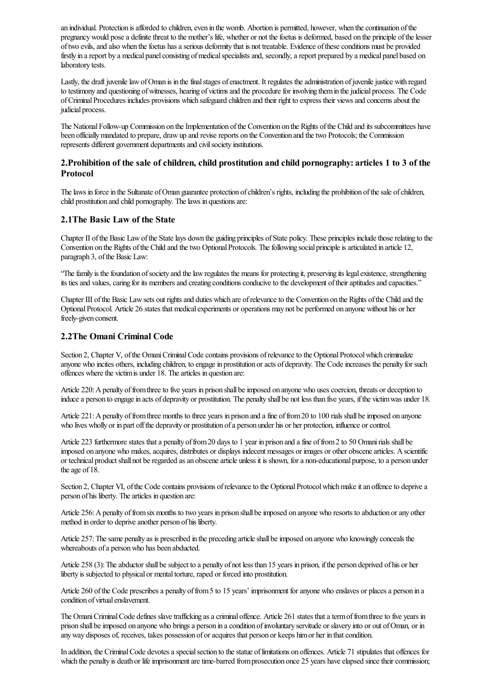an individual. Protection is afforded to children, even in the womb. Abortion is permitted, however, when the continuation of the pregnancy would pose a definite threat to the mother's life, whether or not the foetus is deformed, based on the principle of the lesser oftwo evils,and also when thefoetus hasaserious deformity that is not treatable. Evidence oftheseconditions must be provided firstly in a report by a medical panel consisting of medical specialists and, secondly, a report prepared by a medical panel based on laboratory tests.

Lastly, the draft juvenile law of Oman is in the final stages of enactment. It regulates the administration of juvenile justice with regard to testimony and questioning of witnesses, hearing of victims and the procedure for involving them in the judicial process. The Code ofCriminalProcedures includes provisions which safeguard children and their right to express their viewsand concernsabout the judicial process.

The National Follow-up Commission on the Implementation of the Convention on the Rights of the Child and its subcommittees have been officiallymandated to prepare, drawup and revisereports on the Convention and thetwo Protocols; the Commission represents different government departments and civil society institutions.

## 2.Prohibition of the sale of children, child prostitution and child pornography: articles 1 to 3 of the Protocol

The laws in force in the Sultanate of Oman guarantee protection of children's rights, including the prohibition of the sale of children, child prostitution and child pornography. The laws in questions are:

## 2.1The Basic Law of the State

Chapter II of the Basic Law of the State lays down the guiding principles of State policy. These principles include those relating to the Convention on the Rights of the Child and the two Optional Protocols. The following social principle is articulated in article 12, paragraph 3, of the Basic Law:

"The family is the foundation of society and the law regulates the means for protecting it, preserving its legal existence, strengthening its ties and values, caring for its members and creating conditions conducive to the development of their aptitudes and capacities."

Chapter III of the Basic Law sets out rights and duties which are of relevance to the Convention on the Rights of the Child and the Optional Protocol. Article 26 states that medical experiments or operations may not be performed on anyone without his or her freely-given consent.

## 2.2The Omani Criminal Code

Section 2, Chapter V, of the Omani Criminal Code contains provisions of relevance to the Optional Protocol which criminalize anyone who incites others, including children, to engage in prostitution or acts of depravity. The Code increases the penalty for such offences where the victim is under 18. The articles in question are:

Article 220: A penalty of from three to five years in prison shall be imposed on anyone who uses coercion, threats or deception to induce a person to engage in acts of depravity or prostitution. The penalty shall be not less than five years, if the victim was under 18.

Article 221: A penalty of from three months to three years in prison and a fine of from 20 to 100 rials shall be imposed on anyone who lives wholly or in part off the depravity or prostitution of a person under his or her protection, influence or control.

Article 223 furthermore states that a penalty of from 20 days to 1 year in prison and a fine of from 2 to 50 Omani rials shall be imposed on anyone who makes, acquires, distributes or displays indecent messages or images or other obscene articles. A scientific or technical productshall not beregarded asan obscenearticle unless it is shown, fora non-educational purpose, to a person under the age of 18.

Section 2, Chapter VI, of the Code contains provisions of relevance to the Optional Protocol which make it an offence to deprive a person of his liberty. The articles in question are:

Article 256: A penalty of from six months to two years in prison shall be imposed on anyone who resorts to abduction or any other method in order to deprive another person of his liberty.

Article 257: The same penalty as is prescribed in the preceding article shall be imposed on anyone who knowingly conceals the whereabouts of a person who has been abducted.

Article 258 (3): The abductor shall be subject to a penalty of not less than 15 years in prison, if the person deprived of his or her liberty is subjected to physical or mental torture, raped or forced into prostitution.

Article 260 of the Code prescribes a penalty of from 5 to 15 years' imprisonment for anyone who enslaves or places a person in a condition of virtual enslavement.

The Omani Criminal Code defines slave trafficking as a criminal offence. Article 261 states that a term of from three to five years in prison shall beimposed on anyone who bringsa person in acondition ofinvoluntary servitude or slavery into or out ofOman, or in anyway disposes of, receives, takes possession of oracquires that person or keeps himor her in thatcondition.

In addition, the Criminal Code devotes a special section to the statue of limitations on offences. Article 71 stipulates that offences for which the penalty is death or life imprisonment are time-barred from prosecution once 25 years have elapsed since their commission;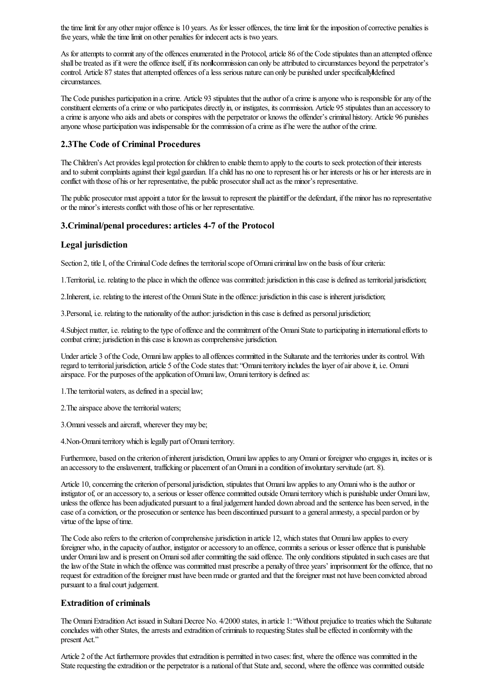the time limit for any other major offence is 10 years. As for lesser offences, the time limit for the imposition of corrective penalties is five years, while the time limit on other penalties for indecent acts is two years.

As for attempts to commit any of the offences enumerated in the Protocol, article 86 of the Code stipulates than an attempted offence shall be treated as if it were the offence itself, if its non commission can only be attributed to circumstances beyond the perpetrator's control. Article 87 states that attempted offences of a less serious nature can only be punished under specifically defined circumstances.

The Code punishes participation in a crime. Article 93 stipulates that the author of a crime is anyone who is responsible for any of the constituent elements of a crime or who participates directly in, or instigates, its commission. Article 95 stipulates than an accessory to a crime is anyone who aids and abets or conspires with the perpetrator or knows the offender's criminal history. Article 96 punishes anyone whose participation was indispensable for the commission of a crime as if he were the author of the crime.

## 2.3The Code of Criminal Procedures

The Children's Act provides legal protection for children to enable them to apply to the courts to seek protection of their interests and to submit complaints against their legal guardian. If a child has no one to represent his or her interests or his or her interests are in conflict with those of his or her representative, the public prosecutor shallactas the minor's representative.

The public prosecutor must appoint a tutor for the lawsuit to represent the plaintiff or the defendant, if the minor has no representative or the minor's interests conflict with those of his or her representative.

#### 3.Criminal/penal procedures: articles 4-7 of the Protocol

#### Legal jurisdiction

Section 2, title I, of the Criminal Code defines the territorial scope of Omani criminal law on the basis of four criteria:

1. Territorial, i.e. relating to the place in which the offence was committed: jurisdiction in this case is defined as territorial jurisdiction;

2. Inherent, i.e. relating to the interest of the Omani State in the offence: jurisdiction in this case is inherent jurisdiction;

3. Personal, i.e. relating to the nationality of the author: jurisdiction in this case is defined as personal jurisdiction;

4. Subject matter, i.e. relating to the type of offence and the commitment of the Omani State to participating in international efforts to combat crime; jurisdiction in this case is known as comprehensive jurisdiction.

Under article 3 of the Code, Omani law applies to all offences committed in the Sultanate and the territories under its control. With regard to territorial jurisdiction, article 5 of the Code states that: "Omani territory includes the layer of air above it, i.e. Omani airspace. For the purposes of the application of Omani law, Omani territory is defined as:

1. The territorial waters, as defined in a special law;

2. The airspace above the territorial waters;

3. Omani vessels and aircraft, wherever they may be;

4.Non-Omaniterritorywhich is legally part ofOmaniterritory.

Furthermore, based on the criterion of inherent jurisdiction, Omani law applies to any Omani or foreigner who engages in, incites or is an accessory to the enslavement, trafficking or placement of an Omani in a condition of involuntary servitude (art. 8).

Article 10, concerning the criterion of personal jurisdiction, stipulates that Omani law applies to any Omani who is the author or instigator of, or an accessory to, a serious or lesser offence committed outside Omani territory which is punishable under Omani law, unless the offence has been adjudicated pursuant to a final judgement handed down abroad and the sentence has been served, in the case of a conviction, or the prosecution or sentence has been discontinued pursuant to a general amnesty, a special pardon or by virtue of the lapse of time.

The Code also refers to the criterion of comprehensive jurisdiction in article 12, which states that Omani law applies to every foreigner who, in the capacity of author, instigator or accessory to an offence, commits a serious or lesser offence that is punishable under Omani law and is present on Omani soil after committing the said offence. The only conditions stipulated in such cases are that the law of the State in which the offence was committed must prescribe a penalty of three years' imprisonment for the offence, that no request for extradition of the foreigner must have been made or granted and that the foreigner must not have been convicted abroad pursuant to a final court judgement.

## Extradition of criminals

The Omani Extradition Act issued in Sultani Decree No. 4/2000 states, in article 1: "Without prejudice to treaties which the Sultanate concludes with other States, the arrests and extradition of criminals to requesting States shall be effected in conformity with the present Act."

Article 2 of the Act furthermore provides that extradition is permitted in two cases: first, where the offence was committed in the State requesting the extradition or the perpetrator is a national of that State and, second, where the offence was committed outside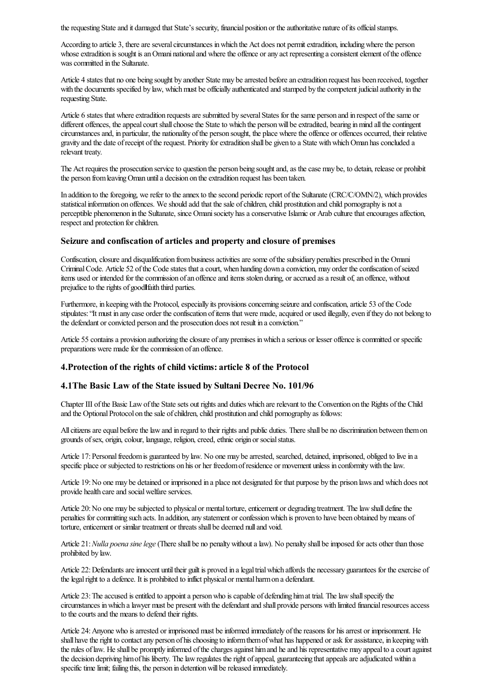the requesting State and it damaged that State's security, financial position or the authoritative nature of its official stamps.

According to article 3, there are several circumstances in which the Act does not permit extradition, including where the person whose extradition is sought is an Omani national and where the offence or any act representing a consistent element of the offence was committed in the Sultanate.

Article 4 states that no one being sought by another State may be arrested before an extradition request has been received, together with the documents specified by law, which must be officially authenticated and stamped by the competent judicial authority in the requesting State.

Article 6 states that where extradition requests are submitted by several States for the same person and in respect of the same or different offences, the appeal court shall choose the State to which the person will be extradited, bearing in mind all the contingent circumstances and, in particular, the nationality of the person sought, the place where the offence or offences occurred, their relative gravity and the date ofreceipt oftherequest. Priority forextradition shall be given to a State withwhichOman hasconcluded a relevant treaty.

The Act requires the prosecution service to question the person being sought and, as the case may be, to detain, release or prohibit the person from leaving Oman until a decision on the extradition request has been taken.

In addition to the foregoing, we refer to the annex to the second periodic report of the Sultanate (CRC/C/OMN/2), which provides statistical information on offences. We should add that the sale of children, child prostitution and child pornography is not a perceptible phenomenon in the Sultanate, since Omani society has a conservative Islamic or Arab culture that encourages affection, respect and protection for children.

#### Seizure and confiscation of articles and property and closure of premises

Confiscation, closure and disqualification from business activities are some of the subsidiary penalties prescribed in the Omani Criminal Code. Article 52 of the Code states that a court, when handing down a conviction, may order the confiscation of seized items used or intended for the commission of an offence and items stolen during, or accrued as a result of, an offence, without prejudice to the rights of good faith third parties.

Furthermore, in keeping with the Protocol, especially its provisions concerning seizure and confiscation, article 53 of the Code stipulates: "It must in any case order the confiscation of items that were made, acquired or used illegally, even if they do not belong to the defendant or convicted person and the prosecution does not result in a conviction."

Article 55 contains a provision authorizing the closure of any premises in which a serious or lesser offence is committed or specific preparations were made for the commission of an offence.

## 4.Protection of the rights of child victims: article 8 of the Protocol

## 4.1The Basic Law of the State issued by Sultani Decree No. 101/96

Chapter III of the Basic Law of the State sets out rights and duties which are relevant to the Convention on the Rights of the Child and the Optional Protocol on the sale of children, child prostitution and child pornography as follows:

All citizens are equal before the law and in regard to their rights and public duties. There shall be no discrimination between them on grounds of sex, origin, colour, language, religion, creed, ethnic origin or social status.

Article 17: Personal freedom is guaranteed by law. No one may be arrested, searched, detained, imprisoned, obliged to live in a specific place or subjected to restrictions on his or her freedomofresidence or movement unless in conformitywith thelaw.

Article 19:No one may be detained or imprisoned in a place not designated for that purpose by the prison lawsand which does not provide health care and social welfare services.

Article 20: No one may be subjected to physical or mental torture, enticement or degrading treatment. The law shall define the penalties for committing such acts. In addition, any statement or confession which is proven to have been obtained by means of torture, enticement or similar treatment or threats shall be deemed null and void.

Article 21: *Nulla poena sine lege* (There shall be no penalty without a law). No penalty shall be imposed for acts other than those prohibited by law.

Article 22: Defendants are innocent until their guilt is proved in a legal trial which affords the necessary guarantees for the exercise of the legal right to a defence. It is prohibited to inflict physical or mental harm on a defendant.

Article 23: The accused is entitled to appoint a person who is capable of defending him at trial. The law shall specify the circumstances in which a lawyer must be present with the defendant and shall provide persons with limited financial resources access to the courts and the means to defend their rights.

Article 24: Anyone who is arrested or imprisoned must be informed immediately of the reasons for his arrest or imprisonment. He shall have the right to contact any person of his choosing to inform them of what has happened or ask for assistance, in keeping with the rules of law. He shall be promptly informed of the charges against him and he and his representative may appeal to a court against the decision depriving him of his liberty. The law regulates the right of appeal, guaranteeing that appeals are adjudicated within a specific time limit; failing this, the person in detention will be released immediately.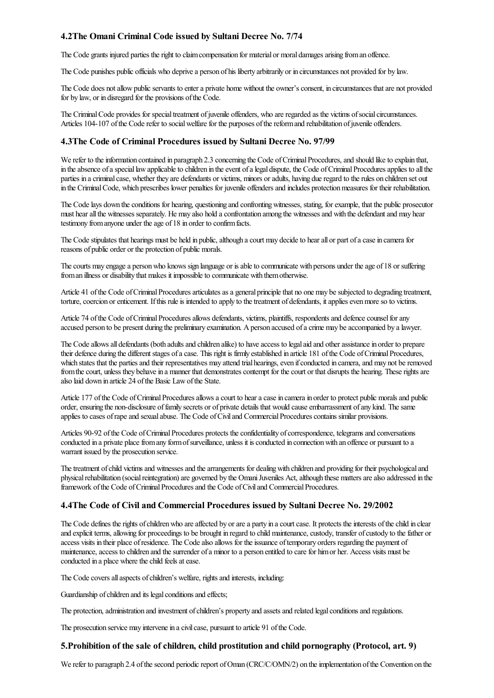## 4.2The Omani Criminal Code issued by Sultani Decree No. 7/74

The Code grants injured parties the right to claim compensation for material or moral damages arising from an offence.

The Code punishes public officials who deprive a person of his liberty arbitrarily or in circumstances not provided for by law.

The Code does not allow public servants to enter a private home without the owner's consent, in circumstances that are not provided for by law, or in disregard for the provisions of the Code.

The Criminal Code provides for special treatment of juvenile offenders, who are regarded as the victims of social circumstances. Articles 104-107 of the Code refer to social welfare for the purposes of the reform and rehabilitation of juvenile offenders.

#### 4.3The Code of Criminal Procedures issued by Sultani Decree No. 97/99

We refer to the information contained in paragraph 2.3 concerning the Code of Criminal Procedures, and should like to explain that, in the absence of a special law applicable to children in the event of a legal dispute, the Code of Criminal Procedures applies to all the parties in a criminal case, whether they are defendants or victims, minors or adults, having due regard to the rules on children set out in the Criminal Code, which prescribes lower penalties for juvenile offenders and includes protection measures for their rehabilitation.

The Code lays down the conditions for hearing, questioning and confronting witnesses, stating, for example, that the public prosecutor must hear all the witnesses separately. He may also hold a confrontation among the witnesses and with the defendant and may hear testimony from anyone under the age of 18 in order to confirm facts.

The Code stipulates that hearings must be held in public, although a court may decide to hear all or part of a case in camera for reasons of public order or the protection of public morals.

The courts may engage a person who knows sign language or is able to communicate with persons under the age of 18 or suffering from an illness or disability that makes it impossible to communicate with them otherwise.

Article 41 of the Code of Criminal Procedures articulates as a general principle that no one may be subjected to degrading treatment, torture, coercion or enticement. If this rule is intended to apply to the treatment of defendants, it applies even more so to victims.

Article 74 of the Code of Criminal Procedures allows defendants, victims, plaintiffs, respondents and defence counsel for any accused person to be present during the preliminary examination. A person accused of a crime may be accompanied by a lawyer.

The Code allows all defendants (both adults and children alike) to have access to legal aid and other assistance in order to prepare their defence during the different stages of a case. This right is firmly established in article 181 of the Code of Criminal Procedures, which states that the parties and their representatives may attend trial hearings, even if conducted in camera, and may not be removed from the court, unless they behave in a manner that demonstrates contempt for the court or that disrupts the hearing. These rights are also laid down in article 24 of the Basic Law of the State.

Article 177 of the Code of Criminal Procedures allows a court to hear a case in camera in order to protect public morals and public order, ensuring the non-disclosure of family secrets or of private details that would cause embarrassment of any kind. The same applies to cases of rape and sexual abuse. The Code of Civil and Commercial Procedures contains similar provisions.

Articles 90-92 of the Code of Criminal Procedures protects the confidentiality of correspondence, telegrams and conversations conducted in a private place from any form of surveillance, unless it is conducted in connection with an offence or pursuant to a warrant issued by the prosecution service.

The treatment of child victims and witnesses and the arrangements for dealing with children and providing for their psychological and physical rehabilitation (social reintegration) are governed by the Omani Juveniles Act, although these matters are also addressed in the framework of the Code of Criminal Procedures and the Code of Civil and Commercial Procedures.

## 4.4The Code of Civil and Commercial Procedures issued by Sultani Decree No. 29/2002

The Code defines the rights of children who are affected by or are a party in a court case. It protects the interests of the child in clear and explicit terms, allowing for proceedings to be brought in regard to child maintenance, custody, transfer of custody to the father or access visits in their place of residence. The Code also allows for the issuance of temporary orders regarding the payment of maintenance, access to children and the surrender of a minor to a person entitled to care for him or her. Access visits must be conducted in a place where the child feels at ease.

The Code covers all aspects of children's welfare, rights and interests, including:

Guardianship of children and its legal conditions and effects;

The protection, administration and investment of children's property and assets and related legal conditions and regulations.

The prosecution service may intervene in a civil case, pursuant to article 91 of the Code.

#### 5.Prohibition of the sale of children, child prostitution and child pornography (Protocol, art. 9)

We refer to paragraph 2.4 of the second periodic report of Oman (CRC/C/OMN/2) on the implementation of the Convention on the